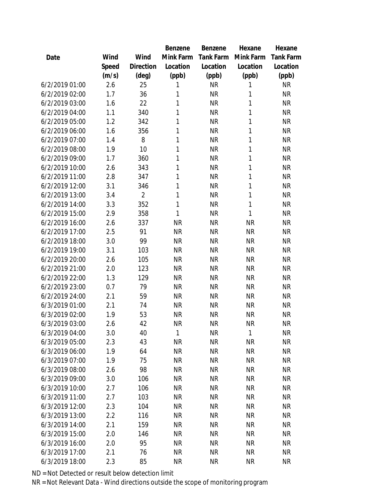|                |       |                | Benzene   | Benzene   | Hexane    | Hexane    |
|----------------|-------|----------------|-----------|-----------|-----------|-----------|
| Date           | Wind  | Wind           | Mink Farm | Tank Farm | Mink Farm | Tank Farm |
|                | Speed | Direction      | Location  | Location  | Location  | Location  |
|                | (m/s) | (deg)          | (ppb)     | (ppb)     | (ppb)     | (ppb)     |
| 6/2/2019 01:00 | 2.6   | 25             | 1         | <b>NR</b> | 1         | <b>NR</b> |
| 6/2/2019 02:00 | 1.7   | 36             | 1         | <b>NR</b> | 1         | <b>NR</b> |
| 6/2/2019 03:00 | 1.6   | 22             | 1         | <b>NR</b> | 1         | <b>NR</b> |
| 6/2/2019 04:00 | 1.1   | 340            | 1         | <b>NR</b> | 1         | <b>NR</b> |
| 6/2/2019 05:00 | 1.2   | 342            | 1         | <b>NR</b> | 1         | <b>NR</b> |
| 6/2/2019 06:00 | 1.6   | 356            | 1         | <b>NR</b> | 1         | <b>NR</b> |
| 6/2/2019 07:00 | 1.4   | 8              | 1         | <b>NR</b> | 1         | <b>NR</b> |
| 6/2/2019 08:00 | 1.9   | 10             | 1         | <b>NR</b> | 1         | <b>NR</b> |
| 6/2/2019 09:00 | 1.7   | 360            | 1         | <b>NR</b> | 1         | <b>NR</b> |
| 6/2/2019 10:00 | 2.6   | 343            | 1         | <b>NR</b> | 1         | <b>NR</b> |
| 6/2/2019 11:00 | 2.8   | 347            | 1         | <b>NR</b> | 1         | <b>NR</b> |
| 6/2/2019 12:00 | 3.1   | 346            | 1         | <b>NR</b> | 1         | <b>NR</b> |
| 6/2/2019 13:00 | 3.4   | $\overline{2}$ | 1         | <b>NR</b> | 1         | <b>NR</b> |
| 6/2/2019 14:00 | 3.3   | 352            | 1         | <b>NR</b> | 1         | <b>NR</b> |
| 6/2/2019 15:00 | 2.9   | 358            | 1         | <b>NR</b> | 1         | <b>NR</b> |
| 6/2/2019 16:00 | 2.6   | 337            | <b>NR</b> | <b>NR</b> | <b>NR</b> | <b>NR</b> |
| 6/2/2019 17:00 | 2.5   | 91             | <b>NR</b> | <b>NR</b> | <b>NR</b> | <b>NR</b> |
| 6/2/2019 18:00 | 3.0   | 99             | <b>NR</b> | <b>NR</b> | <b>NR</b> | <b>NR</b> |
| 6/2/2019 19:00 | 3.1   | 103            | <b>NR</b> | <b>NR</b> | <b>NR</b> | <b>NR</b> |
| 6/2/2019 20:00 | 2.6   | 105            | <b>NR</b> | <b>NR</b> | <b>NR</b> | <b>NR</b> |
| 6/2/2019 21:00 | 2.0   | 123            | <b>NR</b> | <b>NR</b> | <b>NR</b> | <b>NR</b> |
| 6/2/2019 22:00 | 1.3   | 129            | <b>NR</b> | <b>NR</b> | <b>NR</b> | <b>NR</b> |
| 6/2/2019 23:00 | 0.7   | 79             | <b>NR</b> | <b>NR</b> | <b>NR</b> | <b>NR</b> |
| 6/2/2019 24:00 | 2.1   | 59             | <b>NR</b> | <b>NR</b> | <b>NR</b> | <b>NR</b> |
| 6/3/2019 01:00 | 2.1   | 74             | <b>NR</b> | <b>NR</b> | <b>NR</b> | <b>NR</b> |
| 6/3/2019 02:00 | 1.9   | 53             | <b>NR</b> | <b>NR</b> | <b>NR</b> | <b>NR</b> |
| 6/3/2019 03:00 | 2.6   | 42             | <b>NR</b> | <b>NR</b> | <b>NR</b> | <b>NR</b> |
| 6/3/2019 04:00 | 3.0   | 40             | 1         | ΝR        | 1         | <b>NR</b> |
| 6/3/2019 05:00 | 2.3   | 43             | <b>NR</b> | <b>NR</b> | <b>NR</b> | <b>NR</b> |
| 6/3/2019 06:00 | 1.9   | 64             | <b>NR</b> | <b>NR</b> | <b>NR</b> | <b>NR</b> |
| 6/3/2019 07:00 | 1.9   | 75             | <b>NR</b> | <b>NR</b> | <b>NR</b> | <b>NR</b> |
| 6/3/2019 08:00 | 2.6   | 98             | <b>NR</b> | <b>NR</b> | <b>NR</b> | <b>NR</b> |
| 6/3/2019 09:00 | 3.0   | 106            | <b>NR</b> | <b>NR</b> | <b>NR</b> | <b>NR</b> |
| 6/3/2019 10:00 | 2.7   | 106            | <b>NR</b> | <b>NR</b> | <b>NR</b> | <b>NR</b> |
| 6/3/2019 11:00 | 2.7   | 103            | <b>NR</b> | <b>NR</b> | <b>NR</b> | <b>NR</b> |
| 6/3/2019 12:00 | 2.3   | 104            | <b>NR</b> | <b>NR</b> | <b>NR</b> | <b>NR</b> |
| 6/3/2019 13:00 | 2.2   | 116            | <b>NR</b> | <b>NR</b> | <b>NR</b> | <b>NR</b> |
| 6/3/2019 14:00 | 2.1   | 159            | <b>NR</b> | <b>NR</b> | <b>NR</b> | <b>NR</b> |
| 6/3/2019 15:00 | 2.0   | 146            | <b>NR</b> | <b>NR</b> | <b>NR</b> | <b>NR</b> |
| 6/3/2019 16:00 | 2.0   | 95             | <b>NR</b> | <b>NR</b> | <b>NR</b> | <b>NR</b> |
| 6/3/2019 17:00 | 2.1   | 76             | <b>NR</b> | <b>NR</b> | <b>NR</b> | <b>NR</b> |
| 6/3/2019 18:00 | 2.3   | 85             | <b>NR</b> | <b>NR</b> | <b>NR</b> | <b>NR</b> |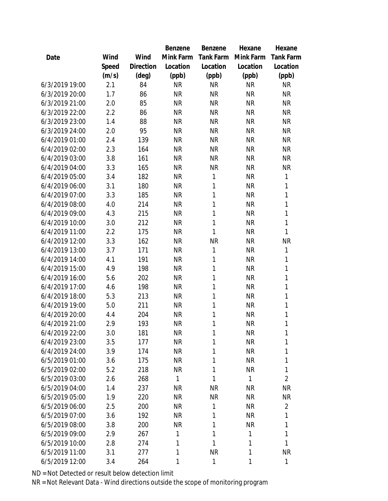|                |       |                | Benzene      | Benzene   | Hexane       | Hexane           |
|----------------|-------|----------------|--------------|-----------|--------------|------------------|
| Date           | Wind  | Wind           | Mink Farm    | Tank Farm | Mink Farm    | <b>Tank Farm</b> |
|                | Speed | Direction      | Location     | Location  | Location     | Location         |
|                | (m/s) | $(\text{deg})$ | (ppb)        | (ppb)     | (ppb)        | (ppb)            |
| 6/3/2019 19:00 | 2.1   | 84             | <b>NR</b>    | <b>NR</b> | <b>NR</b>    | <b>NR</b>        |
| 6/3/2019 20:00 | 1.7   | 86             | <b>NR</b>    | <b>NR</b> | <b>NR</b>    | <b>NR</b>        |
| 6/3/2019 21:00 | 2.0   | 85             | <b>NR</b>    | <b>NR</b> | <b>NR</b>    | <b>NR</b>        |
| 6/3/2019 22:00 | 2.2   | 86             | <b>NR</b>    | <b>NR</b> | <b>NR</b>    | <b>NR</b>        |
| 6/3/2019 23:00 | 1.4   | 88             | <b>NR</b>    | <b>NR</b> | <b>NR</b>    | <b>NR</b>        |
| 6/3/2019 24:00 | 2.0   | 95             | <b>NR</b>    | <b>NR</b> | <b>NR</b>    | <b>NR</b>        |
| 6/4/2019 01:00 | 2.4   | 139            | <b>NR</b>    | <b>NR</b> | <b>NR</b>    | <b>NR</b>        |
| 6/4/2019 02:00 | 2.3   | 164            | <b>NR</b>    | <b>NR</b> | <b>NR</b>    | <b>NR</b>        |
| 6/4/2019 03:00 | 3.8   | 161            | <b>NR</b>    | <b>NR</b> | <b>NR</b>    | <b>NR</b>        |
| 6/4/2019 04:00 | 3.3   | 165            | <b>NR</b>    | <b>NR</b> | <b>NR</b>    | <b>NR</b>        |
| 6/4/2019 05:00 | 3.4   | 182            | <b>NR</b>    | 1         | <b>NR</b>    | 1                |
| 6/4/2019 06:00 | 3.1   | 180            | <b>NR</b>    | 1         | <b>NR</b>    | 1                |
| 6/4/2019 07:00 | 3.3   | 185            | <b>NR</b>    | 1         | <b>NR</b>    | 1                |
| 6/4/2019 08:00 | 4.0   | 214            | <b>NR</b>    | 1         | <b>NR</b>    | 1                |
| 6/4/2019 09:00 | 4.3   | 215            | <b>NR</b>    | 1         | <b>NR</b>    | 1                |
| 6/4/2019 10:00 | 3.0   | 212            | <b>NR</b>    | 1         | <b>NR</b>    | 1                |
| 6/4/2019 11:00 | 2.2   | 175            | <b>NR</b>    | 1         | <b>NR</b>    | 1                |
| 6/4/2019 12:00 | 3.3   | 162            | <b>NR</b>    | <b>NR</b> | <b>NR</b>    | <b>NR</b>        |
| 6/4/2019 13:00 | 3.7   | 171            | <b>NR</b>    | 1         | <b>NR</b>    | 1                |
| 6/4/2019 14:00 | 4.1   | 191            | <b>NR</b>    | 1         | <b>NR</b>    | 1                |
| 6/4/2019 15:00 | 4.9   | 198            | <b>NR</b>    | 1         | <b>NR</b>    | 1                |
| 6/4/2019 16:00 | 5.6   | 202            | <b>NR</b>    | 1         | <b>NR</b>    | 1                |
| 6/4/2019 17:00 | 4.6   | 198            | <b>NR</b>    | 1         | <b>NR</b>    | 1                |
| 6/4/2019 18:00 | 5.3   | 213            | <b>NR</b>    | 1         | <b>NR</b>    | 1                |
| 6/4/2019 19:00 | 5.0   | 211            | <b>NR</b>    | 1         | <b>NR</b>    | 1                |
| 6/4/2019 20:00 | 4.4   | 204            | <b>NR</b>    | 1         | <b>NR</b>    | 1                |
| 6/4/2019 21:00 | 2.9   | 193            | <b>NR</b>    | 1         | <b>NR</b>    | 1                |
| 6/4/2019 22:00 | 3.0   | 181            | <b>NR</b>    | 1         | <b>NR</b>    | 1                |
| 6/4/2019 23:00 | 3.5   | 177            | <b>NR</b>    | 1         | <b>NR</b>    | 1                |
| 6/4/2019 24:00 | 3.9   | 174            | <b>NR</b>    | 1         | <b>NR</b>    | 1                |
| 6/5/2019 01:00 | 3.6   | 175            | <b>NR</b>    | 1         | <b>NR</b>    | 1                |
| 6/5/2019 02:00 | 5.2   | 218            | <b>NR</b>    | 1         | <b>NR</b>    | 1                |
| 6/5/2019 03:00 | 2.6   | 268            | $\mathbf{1}$ | 1         | 1            | $\overline{2}$   |
| 6/5/2019 04:00 | 1.4   | 237            | <b>NR</b>    | <b>NR</b> | <b>NR</b>    | <b>NR</b>        |
| 6/5/2019 05:00 | 1.9   | 220            | <b>NR</b>    | <b>NR</b> | <b>NR</b>    | <b>NR</b>        |
| 6/5/2019 06:00 | 2.5   | 200            | <b>NR</b>    | 1         | <b>NR</b>    | $\overline{2}$   |
| 6/5/2019 07:00 | 3.6   | 192            | <b>NR</b>    | 1         | <b>NR</b>    | 1                |
| 6/5/2019 08:00 | 3.8   | 200            | <b>NR</b>    | 1         | <b>NR</b>    | 1                |
| 6/5/2019 09:00 | 2.9   | 267            | 1            | 1         | 1            | 1                |
| 6/5/2019 10:00 | 2.8   | 274            | 1            | 1         | 1            | 1                |
| 6/5/2019 11:00 | 3.1   | 277            | 1            | <b>NR</b> | $\mathbf{1}$ | <b>NR</b>        |
| 6/5/2019 12:00 | 3.4   | 264            | 1            | 1         | 1            | 1                |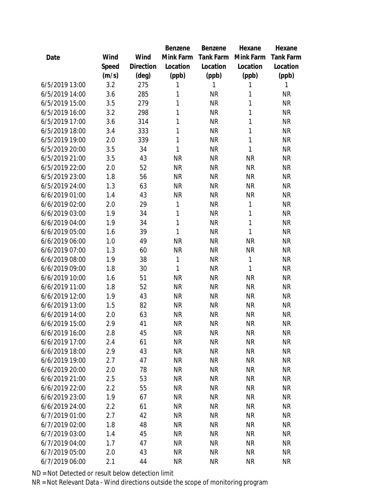|                |       |                | Benzene   | Benzene          | Hexane       | Hexane    |
|----------------|-------|----------------|-----------|------------------|--------------|-----------|
| Date           | Wind  | Wind           | Mink Farm | <b>Tank Farm</b> | Mink Farm    | Tank Farm |
|                | Speed | Direction      | Location  | Location         | Location     | Location  |
|                | (m/s) | $(\text{deg})$ | (ppb)     | (ppb)            | (ppb)        | (ppb)     |
| 6/5/2019 13:00 | 3.2   | 275            | 1         | 1                | 1            | 1         |
| 6/5/2019 14:00 | 3.6   | 285            | 1         | <b>NR</b>        | 1            | <b>NR</b> |
| 6/5/2019 15:00 | 3.5   | 279            | 1         | <b>NR</b>        | 1            | <b>NR</b> |
| 6/5/2019 16:00 | 3.2   | 298            | 1         | <b>NR</b>        | 1            | <b>NR</b> |
| 6/5/2019 17:00 | 3.6   | 314            | 1         | <b>NR</b>        | 1            | <b>NR</b> |
| 6/5/2019 18:00 | 3.4   | 333            | 1         | <b>NR</b>        | 1            | <b>NR</b> |
| 6/5/2019 19:00 | 2.0   | 339            | 1         | <b>NR</b>        | 1            | <b>NR</b> |
| 6/5/2019 20:00 | 3.5   | 34             | 1         | <b>NR</b>        | 1            | <b>NR</b> |
| 6/5/2019 21:00 | 3.5   | 43             | <b>NR</b> | <b>NR</b>        | <b>NR</b>    | <b>NR</b> |
| 6/5/2019 22:00 | 2.0   | 52             | <b>NR</b> | <b>NR</b>        | <b>NR</b>    | <b>NR</b> |
| 6/5/2019 23:00 | 1.8   | 56             | <b>NR</b> | <b>NR</b>        | <b>NR</b>    | <b>NR</b> |
| 6/5/2019 24:00 | 1.3   | 63             | <b>NR</b> | <b>NR</b>        | <b>NR</b>    | <b>NR</b> |
| 6/6/2019 01:00 | 1.4   | 43             | <b>NR</b> | <b>NR</b>        | <b>NR</b>    | <b>NR</b> |
| 6/6/2019 02:00 | 2.0   | 29             | 1         | <b>NR</b>        | 1            | <b>NR</b> |
| 6/6/2019 03:00 | 1.9   | 34             | 1         | <b>NR</b>        | 1            | <b>NR</b> |
| 6/6/2019 04:00 | 1.9   | 34             | 1         | <b>NR</b>        | 1            | <b>NR</b> |
| 6/6/2019 05:00 | 1.6   | 39             | 1         | <b>NR</b>        | 1            | <b>NR</b> |
| 6/6/2019 06:00 | 1.0   | 49             | <b>NR</b> | <b>NR</b>        | <b>NR</b>    | <b>NR</b> |
| 6/6/2019 07:00 | 1.3   | 60             | <b>NR</b> | <b>NR</b>        | ΝR           | <b>NR</b> |
| 6/6/2019 08:00 | 1.9   | 38             | 1         | <b>NR</b>        | 1            | <b>NR</b> |
| 6/6/2019 09:00 | 1.8   | 30             | 1         | <b>NR</b>        | $\mathbf{1}$ | <b>NR</b> |
| 6/6/2019 10:00 | 1.6   | 51             | <b>NR</b> | <b>NR</b>        | <b>NR</b>    | <b>NR</b> |
| 6/6/2019 11:00 | 1.8   | 52             | <b>NR</b> | <b>NR</b>        | <b>NR</b>    | <b>NR</b> |
| 6/6/2019 12:00 | 1.9   | 43             | <b>NR</b> | <b>NR</b>        | <b>NR</b>    | <b>NR</b> |
| 6/6/2019 13:00 | 1.5   | 82             | <b>NR</b> | <b>NR</b>        | <b>NR</b>    | <b>NR</b> |
| 6/6/2019 14:00 | 2.0   | 63             | <b>NR</b> | <b>NR</b>        | <b>NR</b>    | <b>NR</b> |
| 6/6/2019 15:00 | 2.9   | 41             | <b>NR</b> | <b>NR</b>        | <b>NR</b>    | <b>NR</b> |
| 6/6/2019 16:00 | 2.8   | 45             | <b>NR</b> | <b>NR</b>        | <b>NR</b>    | <b>NR</b> |
| 6/6/2019 17:00 | 2.4   | 61             | <b>NR</b> | <b>NR</b>        | <b>NR</b>    | <b>NR</b> |
| 6/6/2019 18:00 | 2.9   | 43             | <b>NR</b> | <b>NR</b>        | <b>NR</b>    | <b>NR</b> |
| 6/6/2019 19:00 | 2.7   | 47             | <b>NR</b> | <b>NR</b>        | ΝR           | <b>NR</b> |
| 6/6/2019 20:00 | 2.0   | 78             | <b>NR</b> | <b>NR</b>        | <b>NR</b>    | <b>NR</b> |
| 6/6/2019 21:00 | 2.5   | 53             | <b>NR</b> | <b>NR</b>        | <b>NR</b>    | <b>NR</b> |
| 6/6/2019 22:00 | 2.2   | 55             | <b>NR</b> | <b>NR</b>        | <b>NR</b>    | <b>NR</b> |
| 6/6/2019 23:00 | 1.9   | 67             | <b>NR</b> | <b>NR</b>        | <b>NR</b>    | <b>NR</b> |
| 6/6/2019 24:00 | 2.2   | 61             | <b>NR</b> | <b>NR</b>        | ΝR           | <b>NR</b> |
| 6/7/2019 01:00 | 2.7   | 42             | <b>NR</b> | <b>NR</b>        | <b>NR</b>    | <b>NR</b> |
| 6/7/2019 02:00 | 1.8   | 48             | <b>NR</b> | <b>NR</b>        | <b>NR</b>    | <b>NR</b> |
| 6/7/2019 03:00 | 1.4   | 45             | <b>NR</b> | <b>NR</b>        | <b>NR</b>    | <b>NR</b> |
| 6/7/2019 04:00 | 1.7   | 47             | <b>NR</b> | <b>NR</b>        | <b>NR</b>    | <b>NR</b> |
| 6/7/2019 05:00 | 2.0   | 43             | <b>NR</b> | <b>NR</b>        | <b>NR</b>    | <b>NR</b> |
| 6/7/2019 06:00 | 2.1   | 44             | <b>NR</b> | <b>NR</b>        | <b>NR</b>    | <b>NR</b> |